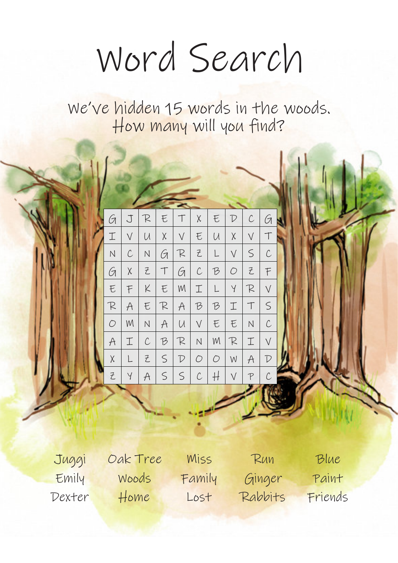## Word Search

We've hidden 15 words in the woods. How many will you find?



Juggi Oak Tree Miss Run Blue Emily Woods Family Ginger Paint Dexter Home Lost Rabbits Friends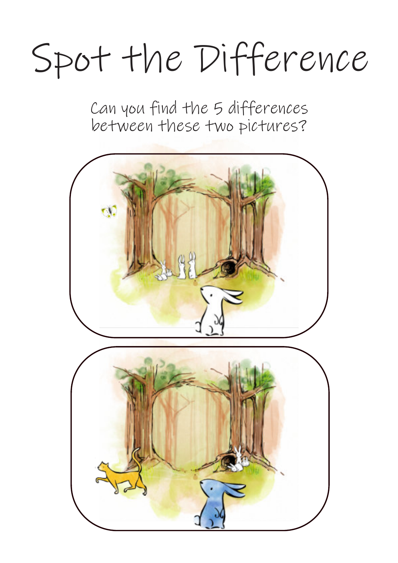## Spot the Difference

Can you find the 5 differences between these two pictures?

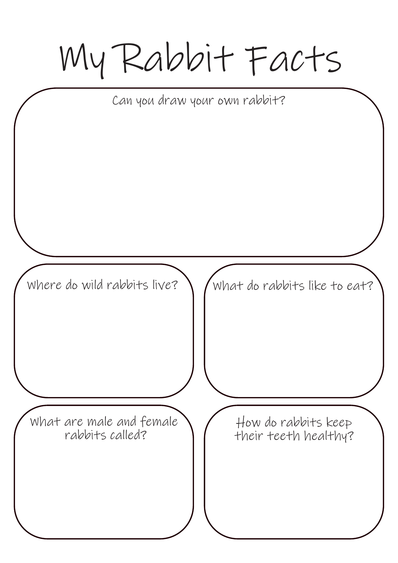My Rabbit Facts What do rabbits like to eat? Can you draw your own rabbit? How do rabbits keep their teeth healthy? Where do wild rabbits live? What are male and female rabbits called?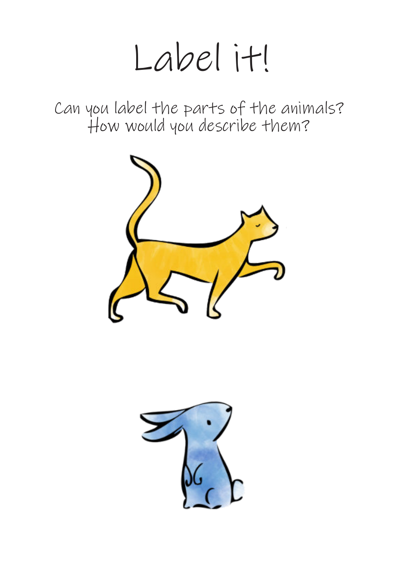## Label it!

Can you label the parts of the animals? How would you describe them?



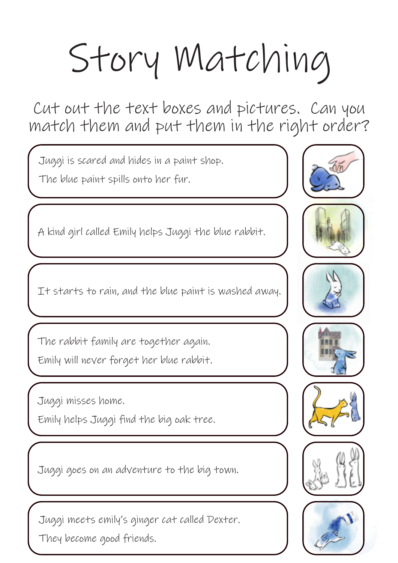## Story Matching

Cut out the text boxes and pictures. Can you match them and put them in the right order?

Juggi is scared and hides in a paint shop.

The blue paint spills onto her fur.

A kind girl called Emily helps Juggi the blue rabbit.

It starts to rain, and the blue paint is washed away.

The rabbit family are together again. Emily will never forget her blue rabbit.

Juggi misses home.

Emily helps Juggi find the big oak tree.

Juggi goes on an adventure to the big town.

Juggi meets emily's ginger cat called Dexter. They become good friends.